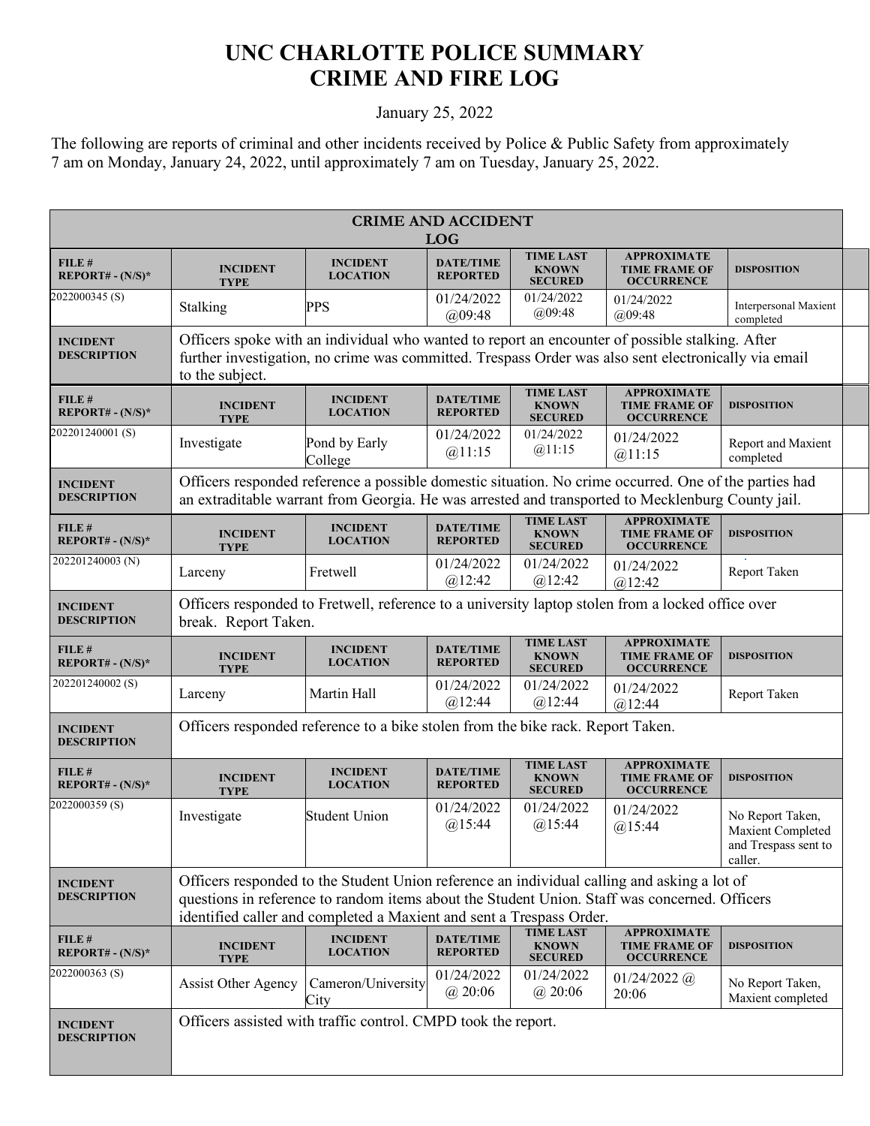## **UNC CHARLOTTE POLICE SUMMARY CRIME AND FIRE LOG**

## January 25, 2022

The following are reports of criminal and other incidents received by Police & Public Safety from approximately 7 am on Monday, January 24, 2022, until approximately 7 am on Tuesday, January 25, 2022.

|                                       |                                                                                                                                                                                                                                                                      |                                                                                                                                                                                                            | <b>CRIME AND ACCIDENT</b><br><b>LOG</b> |                                                    |                                                                 |                                                                          |  |  |
|---------------------------------------|----------------------------------------------------------------------------------------------------------------------------------------------------------------------------------------------------------------------------------------------------------------------|------------------------------------------------------------------------------------------------------------------------------------------------------------------------------------------------------------|-----------------------------------------|----------------------------------------------------|-----------------------------------------------------------------|--------------------------------------------------------------------------|--|--|
| FILE #<br>$REPORT# - (N/S)*$          | <b>INCIDENT</b><br><b>TYPE</b>                                                                                                                                                                                                                                       | <b>INCIDENT</b><br><b>LOCATION</b>                                                                                                                                                                         | <b>DATE/TIME</b><br><b>REPORTED</b>     | <b>TIME LAST</b><br><b>KNOWN</b><br><b>SECURED</b> | <b>APPROXIMATE</b><br><b>TIME FRAME OF</b><br><b>OCCURRENCE</b> | <b>DISPOSITION</b>                                                       |  |  |
| 2022000345(S)                         | Stalking                                                                                                                                                                                                                                                             | PPS                                                                                                                                                                                                        | 01/24/2022<br>(a)09:48                  | 01/24/2022<br>(a)09:48                             | 01/24/2022<br>(a)09:48                                          | Interpersonal Maxient<br>completed                                       |  |  |
| <b>INCIDENT</b><br><b>DESCRIPTION</b> | Officers spoke with an individual who wanted to report an encounter of possible stalking. After<br>further investigation, no crime was committed. Trespass Order was also sent electronically via email<br>to the subject.                                           |                                                                                                                                                                                                            |                                         |                                                    |                                                                 |                                                                          |  |  |
| FILE #<br>$REPORT# - (N/S)*$          | <b>INCIDENT</b><br><b>TYPE</b>                                                                                                                                                                                                                                       | <b>INCIDENT</b><br><b>LOCATION</b>                                                                                                                                                                         | <b>DATE/TIME</b><br><b>REPORTED</b>     | <b>TIME LAST</b><br><b>KNOWN</b><br><b>SECURED</b> | <b>APPROXIMATE</b><br><b>TIME FRAME OF</b><br><b>OCCURRENCE</b> | <b>DISPOSITION</b>                                                       |  |  |
| 202201240001(S)                       | Investigate                                                                                                                                                                                                                                                          | Pond by Early<br>College                                                                                                                                                                                   | 01/24/2022<br>@11:15                    | 01/24/2022<br>@11:15                               | 01/24/2022<br>@11:15                                            | Report and Maxient<br>completed                                          |  |  |
| <b>INCIDENT</b><br><b>DESCRIPTION</b> |                                                                                                                                                                                                                                                                      | Officers responded reference a possible domestic situation. No crime occurred. One of the parties had<br>an extraditable warrant from Georgia. He was arrested and transported to Mecklenburg County jail. |                                         |                                                    |                                                                 |                                                                          |  |  |
| FILE#<br>$REPORT# - (N/S)*$           | <b>INCIDENT</b><br><b>TYPE</b>                                                                                                                                                                                                                                       | <b>INCIDENT</b><br><b>LOCATION</b>                                                                                                                                                                         | <b>DATE/TIME</b><br><b>REPORTED</b>     | <b>TIME LAST</b><br><b>KNOWN</b><br><b>SECURED</b> | <b>APPROXIMATE</b><br><b>TIME FRAME OF</b><br><b>OCCURRENCE</b> | <b>DISPOSITION</b>                                                       |  |  |
| 202201240003 (N)                      | Larceny                                                                                                                                                                                                                                                              | Fretwell                                                                                                                                                                                                   | 01/24/2022<br>@12:42                    | 01/24/2022<br>$(a)$ 12:42                          | 01/24/2022<br>$(a)$ 12:42                                       | Report Taken                                                             |  |  |
| <b>INCIDENT</b><br><b>DESCRIPTION</b> | Officers responded to Fretwell, reference to a university laptop stolen from a locked office over<br>break. Report Taken.                                                                                                                                            |                                                                                                                                                                                                            |                                         |                                                    |                                                                 |                                                                          |  |  |
| FILE#<br>$REPORT# - (N/S)*$           | <b>INCIDENT</b><br><b>TYPE</b>                                                                                                                                                                                                                                       | <b>INCIDENT</b><br><b>LOCATION</b>                                                                                                                                                                         | <b>DATE/TIME</b><br><b>REPORTED</b>     | <b>TIME LAST</b><br><b>KNOWN</b><br><b>SECURED</b> | <b>APPROXIMATE</b><br><b>TIME FRAME OF</b><br><b>OCCURRENCE</b> | <b>DISPOSITION</b>                                                       |  |  |
| 202201240002 <sub>(S)</sub>           | Larceny                                                                                                                                                                                                                                                              | Martin Hall                                                                                                                                                                                                | 01/24/2022<br>@12:44                    | 01/24/2022<br>@12:44                               | 01/24/2022<br>@12:44                                            | Report Taken                                                             |  |  |
| <b>INCIDENT</b><br><b>DESCRIPTION</b> |                                                                                                                                                                                                                                                                      | Officers responded reference to a bike stolen from the bike rack. Report Taken.                                                                                                                            |                                         |                                                    |                                                                 |                                                                          |  |  |
| FILE#<br>$REPORT# - (N/S)*$           | <b>INCIDENT</b><br>TYPE                                                                                                                                                                                                                                              | <b>INCIDENT</b><br><b>LOCATION</b>                                                                                                                                                                         | <b>DATE/TIME</b><br><b>REPORTED</b>     | <b>TIME LAST</b><br><b>KNOWN</b><br><b>SECURED</b> | <b>APPROXIMATE</b><br><b>TIME FRAME OF</b><br><b>OCCURRENCE</b> | <b>DISPOSITION</b>                                                       |  |  |
| 2022000359(S)                         | Investigate                                                                                                                                                                                                                                                          | <b>Student Union</b>                                                                                                                                                                                       | 01/24/2022<br>$(a)$ 15:44               | 01/24/2022<br>$(a)$ 15:44                          | 01/24/2022<br>@15:44                                            | No Report Taken,<br>Maxient Completed<br>and Trespass sent to<br>caller. |  |  |
| <b>INCIDENT</b><br><b>DESCRIPTION</b> | Officers responded to the Student Union reference an individual calling and asking a lot of<br>questions in reference to random items about the Student Union. Staff was concerned. Officers<br>identified caller and completed a Maxient and sent a Trespass Order. |                                                                                                                                                                                                            |                                         |                                                    |                                                                 |                                                                          |  |  |
| FILE#<br>$REPORT# - (N/S)*$           | <b>INCIDENT</b><br><b>TYPE</b>                                                                                                                                                                                                                                       | <b>INCIDENT</b><br><b>LOCATION</b>                                                                                                                                                                         | <b>DATE/TIME</b><br><b>REPORTED</b>     | <b>TIME LAST</b><br><b>KNOWN</b><br><b>SECURED</b> | <b>APPROXIMATE</b><br><b>TIME FRAME OF</b><br><b>OCCURRENCE</b> | <b>DISPOSITION</b>                                                       |  |  |
| 2022000363 <sub>(S)</sub>             | <b>Assist Other Agency</b>                                                                                                                                                                                                                                           | Cameron/University<br>City                                                                                                                                                                                 | 01/24/2022<br>@20:06                    | 01/24/2022<br>@20:06                               | $01/24/2022$ (a)<br>20:06                                       | No Report Taken,<br>Maxient completed                                    |  |  |
| <b>INCIDENT</b><br><b>DESCRIPTION</b> | Officers assisted with traffic control. CMPD took the report.                                                                                                                                                                                                        |                                                                                                                                                                                                            |                                         |                                                    |                                                                 |                                                                          |  |  |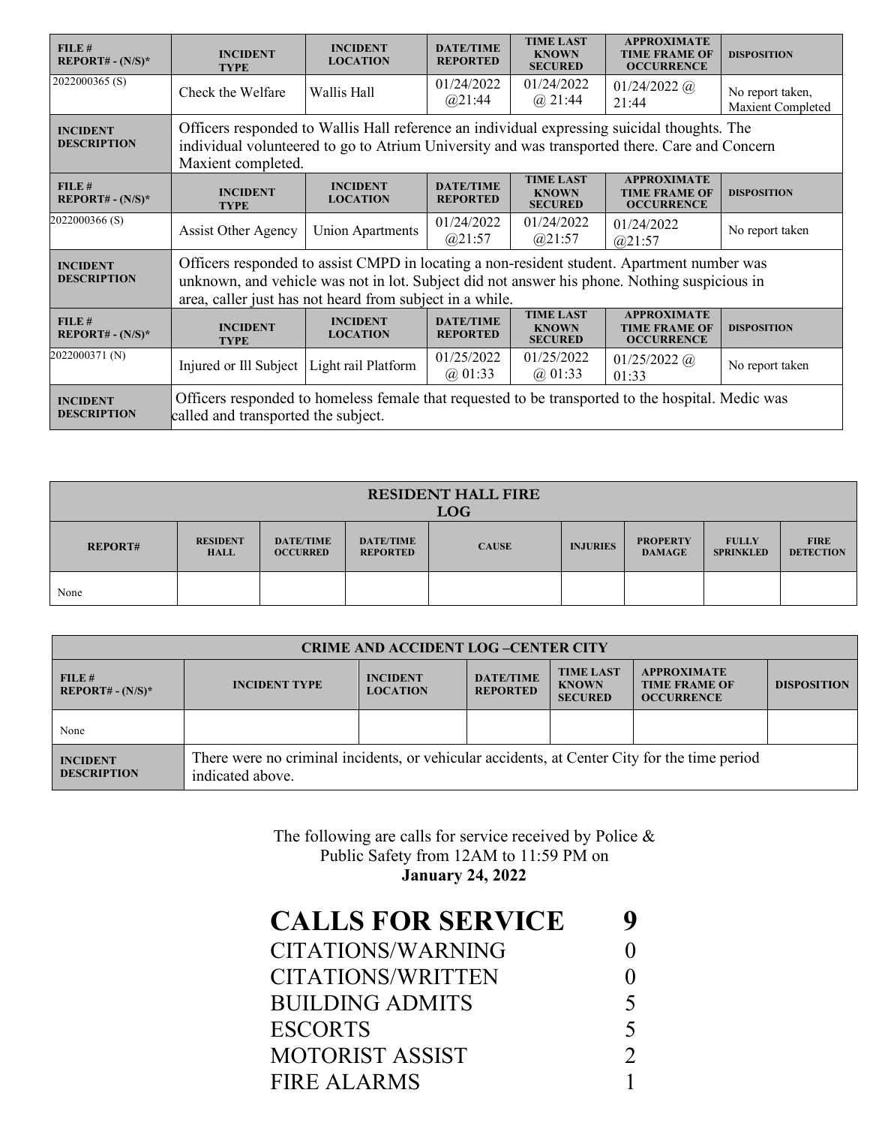| FILE#<br>$REPORT# - (N/S)*$           | <b>INCIDENT</b><br><b>TYPE</b>                                                                                                                                                                                                                         | <b>INCIDENT</b><br><b>LOCATION</b> | <b>DATE/TIME</b><br><b>REPORTED</b> | <b>TIME LAST</b><br><b>KNOWN</b><br><b>SECURED</b> | <b>APPROXIMATE</b><br><b>TIME FRAME OF</b><br><b>OCCURRENCE</b> | <b>DISPOSITION</b>                    |
|---------------------------------------|--------------------------------------------------------------------------------------------------------------------------------------------------------------------------------------------------------------------------------------------------------|------------------------------------|-------------------------------------|----------------------------------------------------|-----------------------------------------------------------------|---------------------------------------|
| 2022000365(S)                         | Check the Welfare                                                                                                                                                                                                                                      | Wallis Hall                        | 01/24/2022<br>@21:44                | 01/24/2022<br>$(a)$ 21:44                          | $01/24/2022$ (a)<br>21:44                                       | No report taken,<br>Maxient Completed |
| <b>INCIDENT</b><br><b>DESCRIPTION</b> | Officers responded to Wallis Hall reference an individual expressing suicidal thoughts. The<br>individual volunteered to go to Atrium University and was transported there. Care and Concern<br>Maxient completed.                                     |                                    |                                     |                                                    |                                                                 |                                       |
| FILE#<br>$REPORT# - (N/S)*$           | <b>INCIDENT</b><br><b>TYPE</b>                                                                                                                                                                                                                         | <b>INCIDENT</b><br><b>LOCATION</b> | <b>DATE/TIME</b><br><b>REPORTED</b> | <b>TIME LAST</b><br><b>KNOWN</b><br><b>SECURED</b> | <b>APPROXIMATE</b><br><b>TIME FRAME OF</b><br><b>OCCURRENCE</b> | <b>DISPOSITION</b>                    |
| 2022000366(S)                         | <b>Assist Other Agency</b>                                                                                                                                                                                                                             | <b>Union Apartments</b>            | 01/24/2022<br>@21:57                | 01/24/2022<br>(a)21:57                             | 01/24/2022<br>(a)21:57                                          | No report taken                       |
| <b>INCIDENT</b><br><b>DESCRIPTION</b> | Officers responded to assist CMPD in locating a non-resident student. Apartment number was<br>unknown, and vehicle was not in lot. Subject did not answer his phone. Nothing suspicious in<br>area, caller just has not heard from subject in a while. |                                    |                                     |                                                    |                                                                 |                                       |
| FILE#<br>$REPORT# - (N/S)*$           | <b>INCIDENT</b><br><b>TYPE</b>                                                                                                                                                                                                                         | <b>INCIDENT</b><br><b>LOCATION</b> | <b>DATE/TIME</b><br><b>REPORTED</b> | <b>TIME LAST</b><br><b>KNOWN</b><br><b>SECURED</b> | <b>APPROXIMATE</b><br><b>TIME FRAME OF</b><br><b>OCCURRENCE</b> | <b>DISPOSITION</b>                    |
| 2022000371 (N)                        | Injured or Ill Subject                                                                                                                                                                                                                                 | Light rail Platform                | 01/25/2022<br>(a) 01:33             | 01/25/2022<br>$(a)$ 01:33                          | $01/25/2022$ ( <i>a</i> )<br>01:33                              | No report taken                       |
| <b>INCIDENT</b><br><b>DESCRIPTION</b> | Officers responded to homeless female that requested to be transported to the hospital. Medic was<br>called and transported the subject.                                                                                                               |                                    |                                     |                                                    |                                                                 |                                       |

| <b>RESIDENT HALL FIRE</b><br><b>LOG</b> |                                |                                     |                                     |              |                 |                                  |                                  |                                 |
|-----------------------------------------|--------------------------------|-------------------------------------|-------------------------------------|--------------|-----------------|----------------------------------|----------------------------------|---------------------------------|
| <b>REPORT#</b>                          | <b>RESIDENT</b><br><b>HALL</b> | <b>DATE/TIME</b><br><b>OCCURRED</b> | <b>DATE/TIME</b><br><b>REPORTED</b> | <b>CAUSE</b> | <b>INJURIES</b> | <b>PROPERTY</b><br><b>DAMAGE</b> | <b>FULLY</b><br><b>SPRINKLED</b> | <b>FIRE</b><br><b>DETECTION</b> |
| None                                    |                                |                                     |                                     |              |                 |                                  |                                  |                                 |

| <b>CRIME AND ACCIDENT LOG-CENTER CITY</b> |                                                                                                                  |                                    |                                     |                                                    |                                                                 |                    |
|-------------------------------------------|------------------------------------------------------------------------------------------------------------------|------------------------------------|-------------------------------------|----------------------------------------------------|-----------------------------------------------------------------|--------------------|
| FILE#<br>$REPORT# - (N/S)*$               | <b>INCIDENT TYPE</b>                                                                                             | <b>INCIDENT</b><br><b>LOCATION</b> | <b>DATE/TIME</b><br><b>REPORTED</b> | <b>TIME LAST</b><br><b>KNOWN</b><br><b>SECURED</b> | <b>APPROXIMATE</b><br><b>TIME FRAME OF</b><br><b>OCCURRENCE</b> | <b>DISPOSITION</b> |
| None                                      |                                                                                                                  |                                    |                                     |                                                    |                                                                 |                    |
| <b>INCIDENT</b><br><b>DESCRIPTION</b>     | There were no criminal incidents, or vehicular accidents, at Center City for the time period<br>indicated above. |                                    |                                     |                                                    |                                                                 |                    |

The following are calls for service received by Police & Public Safety from 12AM to 11:59 PM on **January 24, 2022**

| 5                        |
|--------------------------|
| $\overline{\mathcal{L}}$ |
|                          |
|                          |
|                          |